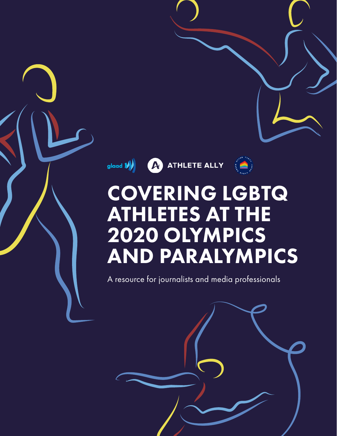glaad **W** ATHLETE ALLY



# COVERING LGBTQ ATHLETES AT THE 2020 OLYMPICS AND PARALYMPICS

A resource for journalists and media professionals

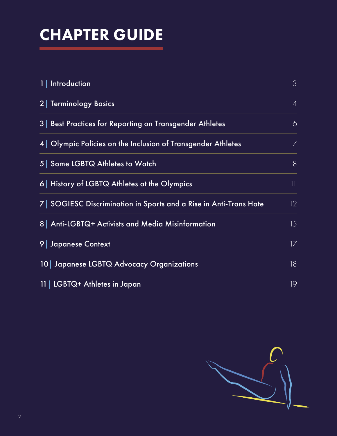# CHAPTER GUIDE

| 1   Introduction                                                 | 3              |
|------------------------------------------------------------------|----------------|
| <b>2 Terminology Basics</b>                                      | $\overline{4}$ |
| 3 Best Practices for Reporting on Transgender Athletes           | 6              |
| 4 Olympic Policies on the Inclusion of Transgender Athletes      | 7              |
| 5 Some LGBTQ Athletes to Watch                                   | 8              |
| 6   History of LGBTQ Athletes at the Olympics                    | 11             |
| 7 SOGIESC Discrimination in Sports and a Rise in Anti-Trans Hate | 12.            |
| 8 Anti-LGBTQ+ Activists and Media Misinformation                 | 15             |
| 9 Japanese Context                                               | 17             |
| 10 Japanese LGBTQ Advocacy Organizations                         | 18             |
| LGBTQ+ Athletes in Japan<br>11 <sup>1</sup>                      | 19             |

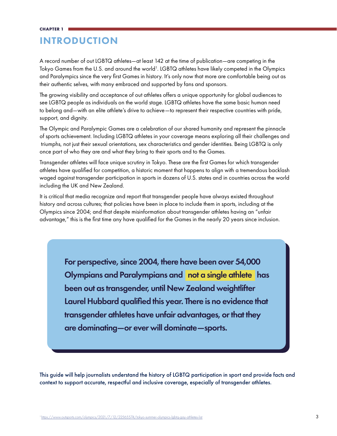# INTRODUCTION

A record number of out LGBTQ athletes—at least 142 at the time of publication—are competing in the Tokyo Games from the U.S. and around the world<sup>1</sup>. LGBTQ athletes have likely competed in the Olympics and Paralympics since the very first Games in history. It's only now that more are comfortable being out as their authentic selves, with many embraced and supported by fans and sponsors.

The growing visibility and acceptance of out athletes offers a unique opportunity for global audiences to see LGBTQ people as individuals on the world stage. LGBTQ athletes have the same basic human need to belong and—with an elite athlete's drive to achieve—to represent their respective countries with pride, support, and dignity.

The Olympic and Paralympic Games are a celebration of our shared humanity and represent the pinnacle of sports achievement. Including LGBTQ athletes in your coverage means exploring all their challenges and triumphs, not just their sexual orientations, sex characteristics and gender identities. Being LGBTQ is only once part of who they are and what they bring to their sports and to the Games.

Transgender athletes will face unique scrutiny in Tokyo. These are the first Games for which transgender athletes have qualified for competition, a historic moment that happens to align with a tremendous backlash waged against transgender participation in sports in dozens of U.S. states and in countries across the world including the UK and New Zealand.

It is critical that media recognize and report that transgender people have always existed throughout history and across cultures; that policies have been in place to include them in sports, including at the Olympics since 2004; and that despite misinformation about transgender athletes having an "unfair advantage," this is the first time any have qualified for the Games in the nearly 20 years since inclusion.

> For perspective, since 2004, there have been over 54,000 Olympians and Paralympians and not a single athlete has been out as transgender, until New Zealand weightlifter Laurel Hubbard qualified this year. There is no evidence that transgender athletes have unfair advantages, or that they are dominating—or ever will dominate—sports.

This guide will help journalists understand the history of LGBTQ participation in sport and provide facts and context to support accurate, respectful and inclusive coverage, especially of transgender athletes.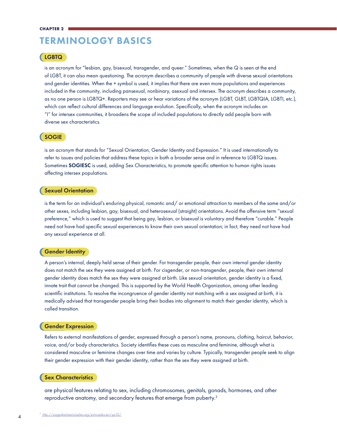# TERMINOLOGY BASICS

# LGBTQ

is an acronym for "lesbian, gay, bisexual, transgender, and queer." Sometimes, when the Q is seen at the end of LGBT, it can also mean questioning. The acronym describes a community of people with diverse sexual orientations and gender identities. When the + symbol is used, it implies that there are even more populations and experiences included in the community, including pansexual, nonbinary, asexual and intersex. The acronym describes a community, as no one person is LGBTQ+. Reporters may see or hear variations of the acronym (LGBT, GLBT, LGBTQIA, LGBTI, etc.), which can reflect cultural differences and language evolution. Specifically, when the acronym includes an "I" for intersex communities, it broadens the scope of included populations to directly add people born with diverse sex characteristics.

# SOGIE

is an acronym that stands for "Sexual Orientation, Gender Identity and Expression." It is used internationally to refer to issues and policies that address these topics in both a broader sense and in reference to LGBTQ issues. Sometimes **SOGIESC** is used, adding Sex Characteristics, to promote specific attention to human rights issues affecting intersex populations.

### Sexual Orientation

is the term for an individual's enduring physical, romantic and/ or emotional attraction to members of the same and/or other sexes, including lesbian, gay, bisexual, and heterosexual (straight) orientations. Avoid the offensive term "sexual preference," which is used to suggest that being gay, lesbian, or bisexual is voluntary and therefore "curable." People need not have had specific sexual experiences to know their own sexual orientation; in fact, they need not have had any sexual experience at all.

# Gender Identity

A person's internal, deeply held sense of their gender. For transgender people, their own internal gender identity does not match the sex they were assigned at birth. For cisgender, or non-transgender, people, their own internal gender identity does match the sex they were assigned at birth. Like sexual orientation, gender identity is a fixed, innate trait that cannot be changed. This is supported by the World Health Organization, among other leading scientific institutions. To resolve the incongruence of gender identity not matching with a sex assigned at birth, it is medically advised that transgender people bring their bodies into alignment to match their gender identity, which is called transition.

### Gender Expression

Refers to external manifestations of gender, expressed through a person's name, pronouns, clothing, haircut, behavior, voice, and/or body characteristics. Society identifies these cues as masculine and feminine, although what is considered masculine or feminine changes over time and varies by culture. Typically, transgender people seek to align their gender expression with their gender identity, rather than the sex they were assigned at birth.

#### Sex Characteristics

are physical features relating to sex, including chromosomes, genitals, gonads, hormones, and other reproductive anatomy, and secondary features that emerge from puberty.<sup>2</sup>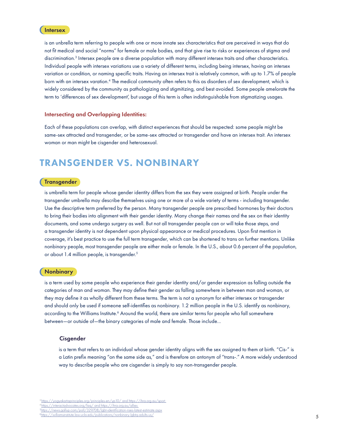# **Intersex**

is an unbrella term referring to people with one or more innate sex characteristics that are perceived in ways that do not fit medical and social "norms" for female or male bodies, and that give rise to risks or experiences of stigma and discrimination.3 Intersex people are a diverse population with many different intersex traits and other characteristics. Individual people with intersex variations use a variety of different terms, including being intersex, having an intersex variation or condition, or naming specific traits. Having an intersex trait is relatively common, with up to 1.7% of people born with an intersex varation.4 The medical community often refers to this as disorders of sex development, which is widely considered by the community as pathologizing and stigmitizing, and best avoided. Some people amelorate the term to 'differences of sex development', but usage of this term is often indistinguishable from stigmatizing usages.

### Intersecting and Overlapping Identities:

Each of these populations can overlap, with distinct experiences that should be respected: some people might be same-sex attracted and transgender, or be same-sex attracted or transgender and have an intersex trait. An intersex woman or man might be cisgender and heterosexual.

# TRANSGENDER VS. NONBINARY

## **Transgender**

is umbrella term for people whose gender identity differs from the sex they were assigned at birth. People under the transgender umbrella may describe themselves using one or more of a wide variety of terms - including transgender. Use the descriptive term preferred by the person. Many transgender people are prescribed hormones by their doctors to bring their bodies into alignment with their gender identity. Many change their names and the sex on their identity documents, and some undergo surgery as well. But not all transgender people can or will take those steps, and a transgender identity is not dependent upon physical appearance or medical procedures. Upon first mention in coverage, it's best practice to use the full term transgender, which can be shortened to trans on further mentions. Unlike nonbinary people, most transgender people are either male or female. In the U.S., about 0.6 percent of the population, or about 1.4 million people, is transgender.<sup>5</sup>

#### **Nonbinary**

is a term used by some people who experience their gender identity and/or gender expression as falling outside the categories of man and woman. They may define their gender as falling somewhere in between man and woman, or they may define it as wholly different from these terms. The term is not a synonym for either intersex or transgender and should only be used if someone self-identifies as nonbinary. 1.2 million people in the U.S. identify as nonbinary, according to the Williams Institute.<sup>6</sup> Around the world, there are similar terms for people who fall somewhere between—or outside of—the binary categories of male and female. Those include...

### Cisgender

is a term that refers to an individual whose gender identity aligns with the sex assigned to them at birth. "Cis-" is a Latin prefix meaning "on the same side as," and is therefore an antonym of "trans-." A more widely understood way to describe people who are cisgender is simply to say non-transgender people.

<sup>3</sup> [https://](https://williamsinstitute.law.ucla.edu/publications/nonbinary-lgbtq-adults-us/)yogyakartaprinciples.org/principles-en/yp10/ and https://ihra.org.au/sport 4 [https://](https://interactadvocates.org/faq/)interactadvocates.org/faq/ and https://ihra.org.au/allies //news.gallup.com/poll/329708/lgbt-identification-rises-latest

https://williamsinstitute.law.ucla.edu/publications/nonbinary-lgbtq-adults-us/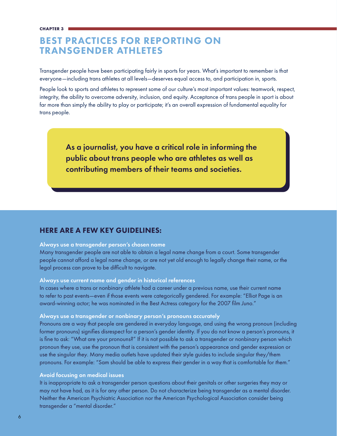# BEST PRACTICES FOR REPORTING ON TRANSGENDER ATHLETES

Transgender people have been participating fairly in sports for years. What's important to remember is that everyone—including trans athletes at all levels—deserves equal access to, and participation in, sports.

People look to sports and athletes to represent some of our culture's most important values: teamwork, respect, integrity, the ability to overcome adversity, inclusion, and equity. Acceptance of trans people in sport is about far more than simply the ability to play or participate; it's an overall expression of fundamental equality for trans people.

As a journalist, you have a critical role in informing the public about trans people who are athletes as well as contributing members of their teams and societies.

# HERE ARE A FEW KEY GUIDELINES:

# Always use a transgender person's chosen name

Many transgender people are not able to obtain a legal name change from a court. Some transgender people cannot afford a legal name change, or are not yet old enough to legally change their name, or the legal process can prove to be difficult to navigate.

# Always use current name and gender in historical references

In cases where a trans or nonbinary athlete had a career under a previous name, use their current name to refer to past events—even if those events were categorically gendered. For example: "Elliot Page is an award-winning actor; he was nominated in the Best Actress category for the 2007 film *Juno*."

# Always use a transgender or nonbinary person's pronouns accurately

Pronouns are a way that people are gendered in everyday language, and using the wrong pronoun (including former pronouns) signifies disrespect for a person's gender identity. If you do not know a person's pronouns, it is fine to ask: "What are your pronouns?" If it is not possible to ask a transgender or nonbinary person which pronoun they use, use the pronoun that is consistent with the person's appearance and gender expression or use the singular *they*. Many media outlets have updated their style guides to include singular they/them pronouns. For example: "Sam should be able to express *their* gender in a way that is comfortable for *them*."

# Avoid focusing on medical issues

It is inappropriate to ask a transgender person questions about their genitals or other surgeries they may or may not have had, as it is for any other person. Do not characterize being transgender as a mental disorder. Neither the American Psychiatric Association nor the American Psychological Association consider being transgender a "mental disorder."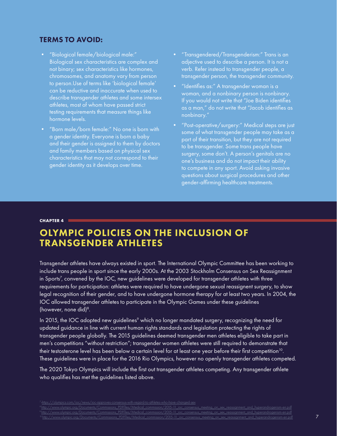# TERMS TO AVOID:

- "Biological female/biological male:" Biological sex characteristics are complex and not binary; sex characteristics like hormones, chromosomes, and anatomy vary from person to person.Use of terms like 'biological female' can be reductive and inaccurate when used to describe transgender athletes and some intersex athletes, most of whom have passed strict testing requirements that measure things like hormone levels.
- "Born male/born female:" No one is born with a gender identity. Everyone is born a baby and their gender is assigned to them by doctors and family members based on physical sex characteristics that may not correspond to their gender identity as it develops over time.
- "Transgendered/Transgenderism:" Trans is an adjective used to describe a person. It is not a verb. Refer instead to transgender people, a transgender person, the transgender community.
- "Identifies as:" A transgender woman is a woman, and a nonbinary person is nonbinary. If you would not write that "Joe Biden identifies as a man," do not write that "Jacob identifies as nonbinary."
- "Post-operative/surgery:" Medical steps are just some of what transgender people may take as a part of their transition, but they are not required to be transgender. Some trans people have surgery, some don't. A person's genitals are no one's business and do not impact their ability to compete in any sport. Avoid asking invasive questions about surgical procedures and other gender-affirming healthcare treatments.

### **CHAPTER 4**

# OLYMPIC POLICIES ON THE INCLUSION OF TRANSGENDER ATHLETES

Transgender athletes have always existed in sport. The International Olympic Committee has been working to include trans people in sport since the early 2000s. At the 2003 Stockholm Consensus on Sex Reassignment in Sports7 , convened by the IOC, new guidelines were developed for transgender athletes with three requirements for participation: athletes were required to have undergone sexual reassignent surgery, to show legal recognition of their gender, and to have undergone hormone therapy for at least two years. In 2004, the IOC allowed transgender athletes to participate in the Olympic Games under these guidelines (however, none did)<sup>8</sup>.

In 2015, the IOC adopted new guidelines<sup>9</sup> which no longer mandated surgery, recognizing the need for updated guidance in line with current human rights standards and legislation protecting the rights of transgender people globally. The 2015 guidelines deemed transgender men athletes eligible to take part in men's competitions "without restriction"; transgender women athletes were still required to demonstrate that their testosterone level has been below a certain level for at least one year before their first competition<sup>10</sup>. These guidelines were in place for the 2016 Rio Olympics, however no openly transgender athletes competed.

The 2020 Tokyo Olympics will include the first out transgender athletes competing. Any transgender athlete who qualifies has met the guidelines listed above.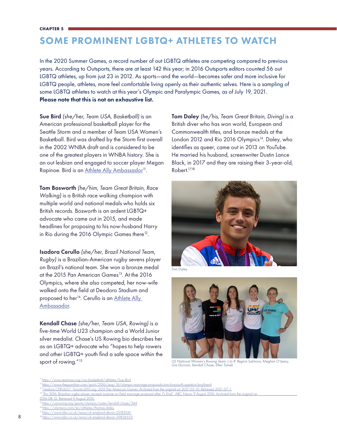#### **CHAPTER 5**

# SOME PROMINENT LGBTQ+ ATHLETES TO WATCH

In the 2020 Summer Games, a record number of out LGBTQ athletes are competing compared to previous years. According to Outsports, there are at least 142 this year; in 2016 Outsports editors counted 56 out LGBTQ athletes, up from just 23 in 2012. As sports—and the world—becomes safer and more inclusive for LGBTQ people, athletes, more feel comfortable living openly as their authentic selves. Here is a sampling of some LGBTQ athletes to watch at this year's Olympic and Paralympic Games, as of July 19, 2021. Please note that this is not an exhaustive list.

Sue Bird *(she/her, Team USA, Basketball)* is an American professional basketball player for the Seattle Storm and a member of Team USA Women's Basketball. Bird was drafted by the Storm first overall in the 2002 WNBA draft and is considered to be one of the greatest players in WNBA history. She is an out lesbian and engaged to soccer player Megan Rapinoe. Bird is an Athlete Ally Ambassador<sup>11</sup>.

Tom Bosworth *(he/him, Team Great Britain, Race Walking)* is a British race walking champion with multiple world and national medals who holds six British records. Bosworth is an ardent LGBTQ+ advocate who came out in 2015, and made headlines for proposing to his now-husband Harry in Rio during the 2016 Olympic Games there<sup>12</sup>.

Isadora Cerullo *(she/her, Brazil National Team, Rugby)* is a Brazilian-American rugby sevens player on Brazil's national team. She won a bronze medal at the 2015 Pan American Games<sup>13</sup>. At the 2016 Olympics, where she also competed, her now-wife walked onto the field at Deodoro Stadium and proposed to her<sup>14</sup>. Cerullo is an Athlete Ally [Ambassador.](https://www.athleteally.org/allies/izzy-cerullo/)

Kendall Chase *(she/her, Team USA, Rowing)* is a five-time World U23 champion and a World Junior silver medalist. Chase's US Rowing bio describes her as an LGBTQ+ advocate who "hopes to help rowers and other LGBTQ+ youth find a safe space within the sport of rowing."<sup>15</sup>

Tom Daley *(he/his, Team Great Britain, Diving)* is a British diver who has won world, European and Commonwealth titles, and bronze medals at the London 2012 and Rio 2016 Olympics<sup>14</sup>. Daley, who identifies as queer, came out in 2013 on YouTube. He married his husband, screenwriter Dustin Lance Black, in 2017 and they are raising their 3-year-old, Robert.17,18



*Tom Daley*



*US National Women's Rowing Team, L to R: Regina Salmons, Meghan O'Leary, Gia Doonan, Kendall Chase, Ellen Tomek*

<sup>11</sup> <https://www.teamusa.org/usa-basketball/athletes/Sue-Bird>

<sup>12</sup> [https://www.theguardian.com/sport/2016/aug/16/olympic-marriage-proposals-tom-bosworth-question-boyfriend](https://www.theguardian.com/sport/2016/aug/16/olympic-marriage-proposals-tom-bosworth-question-boyfr)

<sup>&</sup>lt;sup>13</sup> ["Isadora CERULLO". Toronto2015.org. 2015 Pan American Games. Archived from the original on 2017-05-10. Retrieved 2021-07-1.](http://”Isadora CERULLO”. Toronto2015.org. 2015 Pan American Games. Archived from the original on 2017-05-1)

<sup>&</sup>lt;sup>14</sup> "Rio 2016: Brazilian rugby player accepts surprise on-field marriage proposal after 7s final". ABC News. 9 August 2016. Archived from the orig

[<sup>2016-08-12.</sup> Retrieved 9 August 2016.](”Rio 2016: Brazilian rugby player accepts surprise on-field marriage proposal after 7s final”. ABC N)

<sup>&</sup>lt;sup>5</sup> <https://usrowing.org/sports/olympic/roster/kendall-chase/344>

<sup>&</sup>lt;sup>6</sup><https://olympics.com/en/athletes/thomas-daley>

<sup>17</sup> <https://www.bbc.co.uk/news/uk-england-devon-25183041>

<sup>18</sup> <https://www.bbc.co.uk/news/uk-england-devon-39836555>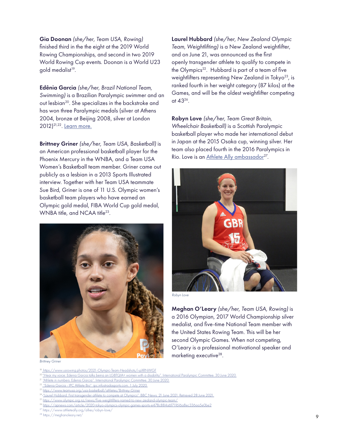Gia Doonan *(she/her, Team USA, Rowing)*  finished third in the the eight at the 2019 World Rowing Championships, and second in two 2019 World Rowing Cup events. Doonan is a World U23 gold medalist<sup>19</sup>.

Edênia Garcia *(she/her, Brazil National Team, Swimming)* is a Brazilian Paralympic swimmer and an out lesbian<sup>20</sup>. She specializes in the backstroke and has won three Paralympic medals (silver at Athens 2004, bronze at Beijing 2008, silver at London 2012)21,22. [Learn more.](https://www.paralympic.org/edenia-garcia)

Brittney Griner *(she/her, Team USA, Basketball)* is an American professional basketball player for the Phoenix Mercury in the WNBA, and a Team USA Women's Basketball team member. Griner came out publicly as a lesbian in a 2013 Sports Illustrated interview. Together with her Team USA teammate Sue Bird, Griner is one of 11 U.S. Olympic women's basketball team players who have earned an Olympic gold medal, FIBA World Cup gold medal, WNBA title, and NCAA title<sup>23</sup>.



*Brittney Griner*

- 20 "Hear my voice: Edenia Garcia talks beina an LGBTQIA+ women with a disability". International Paralympic Committee. 30 June 2020.
- <sup>21</sup> "Athlete in numbers: Edenia Garcia". International Paralympic Committee. 30 June 2020.
- <sup>22</sup> "Edenia Garcia IPC Athlete Bio". ipc.infostradasports.com. 1 July 2020.

- <sup>24</sup> "Laurel Hubbard: First transgender athlete to compete at Olympics". BBC News. 21 June 2021. Retrieved 28 June 2021.
- <sup>25</sup> https://www.olympic.org.nz/news/five-weightlifters-named-to-new-zealand-olympic-team/

<sup>27</sup> https://www.athleteally.org/allies/robyn-love/<br><sup>28</sup> https://meghanoleary.net/

 $\frac{28 \text{ https://meghanoleary.net/}}{9}$ 

Laurel Hubbard *(she/her, New Zealand Olympic Team, Weightlifting)* is a New Zealand weightlifter, and on June 21, was announced as the first openly transgender athlete to qualify to compete in the Olympics<sup>22</sup>. Hubbard is part of a team of five weightlifters representing New Zealand in Tokyo<sup>23</sup>, is ranked fourth in her weight category (87 kilos) at the Games, and will be the oldest weightlifter competing at 4326.

Robyn Love *(she/her, Team Great Britain, Wheelchair Basketball)* is a Scottish Paralympic basketball player who made her international debut in Japan at the 2015 Osaka cup, winning silver. Her team also placed fourth in the 2016 Paralympics in Rio. Love is an Athlete Ally ambassador<sup>27</sup>.



*Robyn Love*

Meghan O'Leary *(she/her, Team USA, Rowing)* is a 2016 Olympian, 2017 World Championship silver medalist, and five-time National Team member with the United States Rowing Team. This will be her second Olympic Games. When not competing, O'Leary is a professional motivational speaker and marketing executive<sup>28</sup>.

<sup>&</sup>lt;sup>19</sup> https://www.usrowing.photos/2021-Olympic-Team-Headshots/i-pXRNWGF

<sup>23</sup> https://www.teamusa.org/usa-basketball/athletes/Brittney-Griner

<sup>26</sup> https://apnews.com/article/2020-tokyo-olympics-olympic-games-sports-e478c884a6f71f616a8ec336aa5e0be2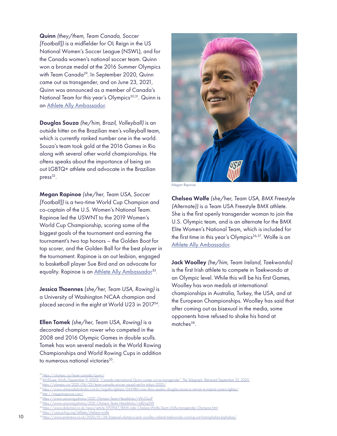Quinn *(they/them, Team Canada, Soccer [Football])* is a midfielder for OL Reign in the US National Women's Soccer League (NSWL), and for the Canada women's national soccer team. Quinn won a bronze medal at the 2016 Summer Olympics with Team Canada<sup>29</sup>. In September 2020, Quinn came out as transgender, and on June 23, 2021, Quinn was announced as a member of Canada's National Team for this year's Olympics<sup>30,31</sup>. Quinn is an [Athlete Ally Ambassador](https://www.athleteally.org/allies/quinn/).

Douglas Souza *(he/him, Brazil, Volleyball)* is an outside hitter on the Brazilian men's volleyball team, which is currently ranked number one in the world. Souza's team took gold at the 2016 Games in Rio along with several other world championships. He oftens speaks about the importance of being an out LGBTQ+ athlete and advocate in the Brazilian  $pres<sup>32</sup>$ .

Megan Rapinoe *(she/her, Team USA, Soccer [Football])* is a two-time World Cup Champion and co-captain of the U.S. Women's National Team. Rapinoe led the USWNT to the 2019 Women's World Cup Championship, scoring some of the biggest goals of the tournament and earning the tournament's two top honors – the Golden Boot for top scorer, and the Golden Ball for the best player in the tournament. Rapinoe is an out lesbian, engaged to basketball player Sue Bird and an advocate for equality. Rapinoe is an Athlete Ally Ambassador<sup>33</sup>.

Jessica Thoennes *(she/her, Team USA, Rowing)* is a University of Washington NCAA champion and placed second in the eight at World U23 in 201734.

Ellen Tomek *(she/her, Team USA, Rowing)* is a decorated champion rower who competed in the 2008 and 2016 Olympic Games in double sculls. Tomek has won several medals in the World Rowing Championships and World Rowing Cups in addition to numerous national victories<sup>35</sup>.



*Megan Rapinoe*

Chelsea Wolfe *(she/her, Team USA, BMX Freestyle (Alternate))* is a Team USA Freestyle BMX athlete. She is the first openly transgender woman to join the U.S. Olympic team, and is an alternate for the BMX Elite Women's National Team, which is included for the first time in this year's Olympics<sup>36,37</sup>. Wolfe is an [Athlete Ally Ambassador.](https://www.athleteally.org/allies/chelsea-wolfe/)

Jack Woolley *(he/him, Team Ireland, Taekwondo)*  is the first Irish athlete to compete in Taekwondo at an Olympic level. While this will be his first Games, Woolley has won medals at international championships in Australia, Turkey, the USA, and at the European Championships. Woolley has said that after coming out as bisexual in the media, some opponents have refused to shake his hand at matches<sup>38</sup>.

31 https://olympic.ca/2021/06/23/team-canada-soccer-squad-set-for-tokyo-2020/

33 http://meganrapinoe.com/

usacycling.org/athlete/chelsea-wolfe

<sup>//</sup>olympic.ca/team-canada/quinn/

 $9$  McElwee, Molly (September 9, 2020). "Can

<sup>32</sup> https://www.olimpiadatododia.com.br/orgulho-lgbtqia/245986-caso-lilico-ajudou-douglas-souza-a-vencer-e-inspirar-jovens-lgbtqi/

<sup>34</sup> https://www.usrowing.photos/2021-Olympic-Team-Headshots/i-WcCkcsP

<sup>35</sup> https://www.usrowing.photos/2021-Olympic-Team-Headshots/i-b82vq2W

<sup>36</sup> https://www.dailymail.co.uk/news/article-9701947/BMX-rider-Chelsea-Wolfe-Team-USAs-transgender-Olympian.html

<sup>10 &</sup>lt;sup>38</sup> https://www.pinknews.co.uk/2020/01/24/bisexual-olympics-jack-woolley-ireland-taeky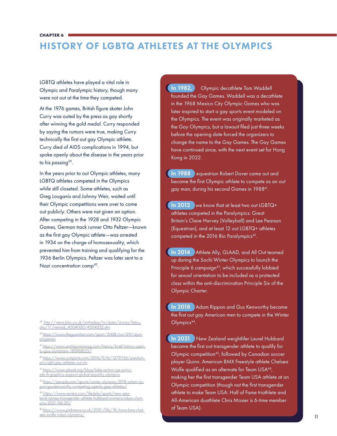#### **CHAPTER 6**

# HISTORY OF LGBTQ ATHLETES AT THE OLYMPICS

LGBTQ athletes have played a vital role in Olympic and Paralympic history, though many were not out at the time they competed.

At the 1976 games, British figure skater John Curry was outed by the press as gay shortly after winning the gold medal. Curry responded by saying the rumors were true, making Curry technically the first out gay Olympic athlete. Curry died of AIDS complications in 1994, but spoke openly about the disease in the years prior to his passing<sup>39</sup>.

In the years prior to out Olympic athletes, many LGBTQ athletes competed in the Olympics while still closeted. Some athletes, such as Greg Louganis and Johnny Weir, waited until their Olympic competitions were over to come out publicly. Others were not given an option. After competing in the 1928 and 1932 Olympic Games, German track runner Otto Peltzer—known as the first gay Olympic athlete—was arrested in 1934 on the charge of homosexuality, which prevented him from training and qualifying for the 1936 Berlin Olympics. Peltzer was later sent to a Nazi concentration camp<sup>40</sup>.

39 http://news.bbc.co.uk/onthisday/hi/dates/stories/february/11/newsid\_4504000/4504532.stm

40 https://www.theguardian.com/sport/2008/jun/29/olympicgames

41 [https://w](https://www.glaad.org/blog/take-action-use-principle-6-graphics-support-global-equality-olympics)ww.smithsonianmag.com/history/brief-history-openly-gay-olympians-180968125/

42 [https://](https://people.com/sports/winter-olympics-2018-adam-rippon-gus-kenworthy-competing-openly-gay-athlet)www.outsports.com/2016/9/6/12731156/paralympics-lgbt-gay-athletes-out-rio

43 [https://](https://www.reuters.com/lifestyle/sports/new-zealand-names-transgender-athlete-hubbard-womens-tokyo-)www.glaad.org/blog/take-action-use-principle-6-graphics-support-global-equality-olympics

44 https://people.com/sports/winter-olympics-2018-adam-rippon-gus-kenworthy-competing-openly-gay-athletes/

45 https://www.reuters.com/lifestyle/sports/new-zealand-names-transgender-athlete-hubbard-womens-tokyo-olympics-2021-06-20/

46 https://www.pinknews.co.uk/2021/06/18/trans-bmx-chelsea-wolfe-tokyo-olympics/ 11 and the control of the control of the control of the control of the control of the control of the control of the control of the control of the control of the control of the control of the contr

In 1982, Olympic decathlete Tom Waddell founded the Gay Games. Waddell was a decathlete in the 1968 Mexico City Olympic Games who was later inspired to start a gay sports event modeled on the Olympics. The event was originally marketed as the Gay Olympics, but a lawsuit filed just three weeks before the opening date forced the organizers to change the name to the Gay Games. The Gay Games have continued since, with the next event set for Hong Kong in 2022.

**In 1988** equestrian Robert Dover came out and became the first Olympic athlete to compete as an out gay man, during his second Games in 198841.

In 2012 we know that at least two out LGBTQ+ athletes competed in the Paralympics: Great Britain's Claire Harvey (Volleyball) and Lee Pearson (Equestrian), and at least 12 out LGBTQ+ athletes competed in the 2016 Rio Paralympics<sup>42</sup>.

**In 2014** Athlete Ally, GLAAD, and All Out teamed up during the Sochi Winter Olympics to launch the Principle 6 campaign<sup>43</sup>, which successfully lobbied for sexual orientation to be included as a protected class within the anti-discrimination Principle Six of the Olympic Charter.

In 2018 Adam Rippon and Gus Kenworthy became the first out gay American men to compete in the Winter Olympics<sup>44</sup>.

In 2021 New Zealand weightlifer Laurel Hubbard became the first out transgender athlete to qualify for Olympic competition<sup>45</sup>, followed by Canadian soccer player Quinn. American BMX Freestyle athlete Chelsea Wolfe qualified as an alternate for Team USA<sup>46</sup>, making her the first transgender Team USA athlete at an Olympic competition (though not the first transgender athlete to make Team USA: Hall of Fame triathlete and All-American duathlete Chris Mosier is 6-time member of Team USA).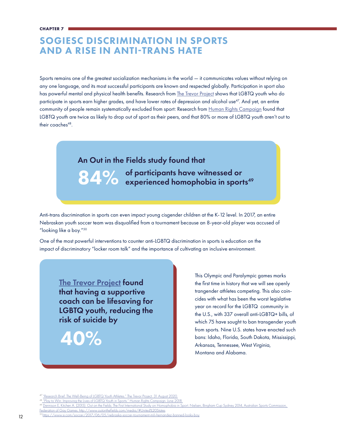# SOGIESC DISCRIMINATION IN SPORTS AND A RISE IN ANTI-TRANS HATE

Sports remains one of the greatest socialization mechanisms in the world — it communicates values without relying on any one language, and its most successful participants are known and respected globally. Participation in sport also has powerful mental and physical health benefits. Research from [The Trevor Project](https://www.thetrevorproject.org/2020/08/31/research-brief-the-well-being-of-lgbtq-youth-athletes/) shows that LGBTQ youth who do participate in sports earn higher grades, and have lower rates of depression and alcohol use<sup>47</sup>. And yet, an entire community of people remain systematically excluded from sport: Research from [Human Rights Campaign](https://assets2.hrc.org/files/assets/resources/PlayToWin-FINAL.pdf) found that LGBTQ youth are twice as likely to drop out of sport as their peers, and that 80% or more of LGBTQ youth aren't out to their coaches<sup>48</sup>.

# An Out in the Fields study found that



Anti-trans discrimination in sports can even impact young cisgender children at the K-12 level. In 2017, an entire Nebraskan youth soccer team was disqualified from a tournament because an 8-year-old player was accused of "looking like a boy."50

One of the most powerful interventions to counter anti-LGBTQ discrimination in sports is education on the impact of discriminatory "locker room talk" and the importance of cultivating an inclusive environment.

**[The Trevor Project](https://www.thetrevorproject.org/2019/06/27/research-brief-accepting-adults-reduce-suicide-attempts-among-lgbtq-youth/) found** that having a supportive coach can be lifesaving for LGBTQ youth, reducing the risk of suicide by

40%

This Olympic and Paralympic games marks the first time in history that we will see openly trangender athletes competing. This also coincides with what has been the worst legislative year on record for the LGBTQ community in the U.S., with 337 overall anti-LGBTQ+ bills, of which 75 have sought to ban transgender youth from sports. Nine U.S. states have enacted such bans: Idaho, Florida, South Dakota, Mississippi, Arkansas, Tennessee, West Virginia, Montana and Alabama.

"Research Brief: The Well-Being of LGBTQ Youth Athletes." The Trevor Project. 31 August 2020.

y to Win: Improving the Lives of LGBTQ Youth in Sports." Human Rights Campaign. June

nison E, Kitchen A. (2015). Out on the Fields: The First International Study on Homophobia in Sport. Nielsen, Bingham Cup Sydney 2014, Australian Sports Co

Federation of Gay Games. http://www.outonthefields.com/media/#United%20States

<sup>50</sup> https://www.si.com/soccer/2017/06/05/nebraska-soccer-tournament-mili-hernandez-banned-looks-boy 12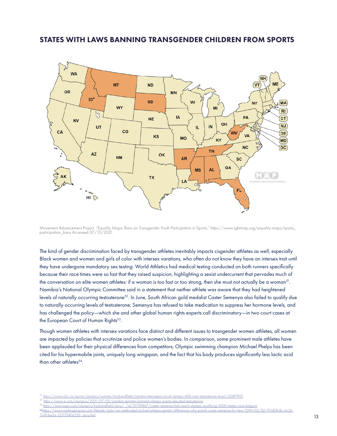# STATES WITH LAWS BANNING TRANSGENDER CHILDREN FROM SPORTS



Movement Advancement Project. "Equality Maps: Bans on Transgender Youth Participation in Sports." https://www.lgbtmap.org/equality-maps/sports\_ participation\_bans Accessed 07/15/2021.

The kind of gender discrimination faced by transgender athletes inevitably impacts cisgender athletes as well, especially Black women and women and girls of color with intersex varations, who often do not know they have an intersex trait until they have undergone mandatory sex testing. World Athletics had medical testing conducted on both runners specifically because their race times were so fast that they raised suspicion, highlighting a sexist undercurrent that pervades much of the conversation on elite women athletes: if a woman is too fast or too strong, then she must not actually be a woman<sup>51</sup>. Namibia's National Olympic Committee said in a statement that neither athlete was aware that they had heightened levels of naturally occurring testosterone<sup>52</sup>. In June, South African gold medalist Caster Semenya also failed to qualify due to naturally occurring levels of testosterone; Semenya has refused to take medication to suppress her hormone levels, and has challenged the policy—which she and other global human rights experts call discriminatory—in two court cases at the European Court of Human Rights<sup>53</sup>.

Though women athletes with intersex varations face distinct and different issues to trasngender women athletes, all women are impacted by policies that scrutinize and police women's bodies. In comparison, some prominent male athletes have been applauded for their physical differences from competitors; Olympic swimming champion Michael Phelps has been cited for his hypermobile joints, uniquely long wingspan, and the fact that his body produces significantly less lactic acid than other athletes<sup>54</sup>.

<sup>51</sup> https://www.cbc.ca/sports/olympics/summer/trackandfield/namibia-teenagers-out-of-olympic-400-over-testosterone-level-1.6087993

<sup>52</sup> https://www.si.com/olympics/2021/07/02/namibia-sprinters-banned-olympic-events-elevated-testosterone /id/31739867/caster-semenya-fails-reach-olympic-qualifying-5000-meters-race-belgium

<sup>54</sup> https://www.washingtonpost.com/lifestyle/style/we-celebrated-michael-phelpss-genetic-differences-why-punish-caster-semenya-for-hers/2019/05/02/93d08c8c-6c2b-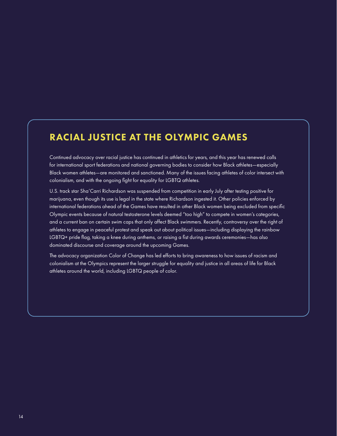# RACIAL JUSTICE AT THE OLYMPIC GAMES

Continued advocacy over racial justice has continued in athletics for years, and this year has renewed calls for international sport federations and national governing bodies to consider how Black athletes—especially Black women athletes—are monitored and sanctioned. Many of the issues facing athletes of color intersect with colonialism, and with the ongoing fight for equality for LGBTQ athletes.

U.S. track star Sha'Carri Richardson was suspended from competition in early July after testing positive for marijuana, even though its use is legal in the state where Richardson ingested it. Other policies enforced by international federations ahead of the Games have resulted in other Black women being excluded from specific Olympic events because of natural testosterone levels deemed "too high" to compete in women's categories, and a current ban on certain swim caps that only affect Black swimmers. Recently, controversy over the right of athletes to engage in peaceful protest and speak out about political issues—including displaying the rainbow LGBTQ+ pride flag, taking a knee during anthems, or raising a fist during awards ceremonies—has also dominated discourse and coverage around the upcoming Games.

The advocacy organization Color of Change has led efforts to bring awareness to how issues of racism and colonialism at the Olympics represent the larger struggle for equality and justice in all areas of life for Black athletes around the world, including LGBTQ people of color.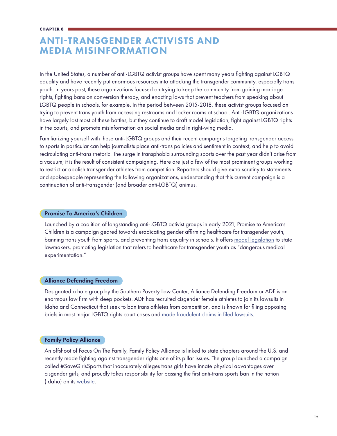# ANTI-TRANSGENDER ACTIVISTS AND MEDIA MISINFORMATION

In the United States, a number of anti-LGBTQ activist groups have spent many years fighting against LGBTQ equality and have recently put enormous resources into attacking the transgender community, especially trans youth. In years past, these organizations focused on trying to keep the community from gaining marriage rights, fighting bans on conversion therapy, and enacting laws that prevent teachers from speaking about LGBTQ people in schools, for example. In the period between 2015-2018, these activist groups focused on trying to prevent trans youth from accessing restrooms and locker rooms at school. Anti-LGBTQ organizations have largely lost most of these battles, but they continue to draft model legislation, fight against LGBTQ rights in the courts, and promote misinformation on social media and in right-wing media.

Familiarizing yourself with these anti-LGBTQ groups and their recent campaigns targeting transgender access to sports in particular can help journalists place anti-trans policies and sentiment in context, and help to avoid recirculating anti-trans rhetoric. The surge in transphobia surrounding sports over the past year didn't arise from a vacuum; it is the result of consistent campaigning. Here are just a few of the most prominent groups working to restrict or abolish transgender athletes from competition. Reporters should give extra scrutiny to statements and spokespeople representing the following organizations, understanding that this current campaign is a continuation of anti-transgender (and broader anti-LGBTQ) animus.

# Promise To America's Children

Launched by a coalition of longstanding anti-LGBTQ activist groups in early 2021, Promise to America's Children is a campaign geared towards eradicating gender affirming healthcare for transgender youth, banning trans youth from sports, and preventing trans equality in schools. It offers [model legislation](https://promisetoamericaschildren.org/for-policy-makers/#model) to state lawmakers, promoting legislation that refers to healthcare for transgender youth as "dangerous medical experimentation."

### Alliance Defending Freedom

Designated a hate group by the Southern Poverty Law Center, Alliance Defending Freedom or ADF is an enormous law firm with deep pockets. ADF has recruited cisgender female athletes to join its lawsuits in Idaho and Connecticut that seek to ban trans athletes from competition, and is known for filing opposing briefs in most major LGBTQ rights court cases and [made fraudulent claims in filed lawsuits.](https://www.usatoday.com/restricted/?return=https%3A%2F%2Fwww.usatoday.com%2Fin-depth%2Fnews%2Finvestigations%2F2021%2F06%2F30%2Ftransgender-sports-bans-pushed-conservatives-citing-untrue-claims%2F5152134001%2F)

### Family Policy Alliance

An offshoot of Focus On The Family, Family Policy Alliance is linked to state chapters around the U.S. and recently made fighting against transgender rights one of its pillar issues. The group launched a campaign called #SaveGirlsSports that inaccurately alleges trans girls have innate physical advantages over cisgender girls, and proudly takes responsibility for passing the first anti-trans sports ban in the nation (Idaho) on its [website](https://familypolicyalliance.com/savegirlssports/#share).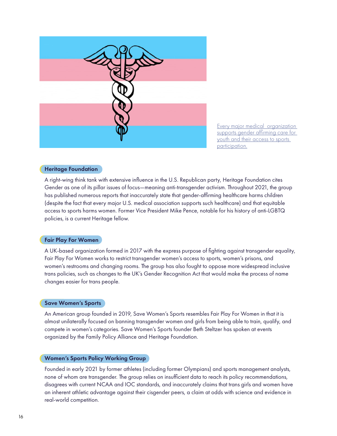

[Every major medical organization](https://www.glaad.org/blog/medical-association-statements-supporting-trans-youth-healthcare-and-against-discriminatory)  [supports gender affirming care for](https://www.glaad.org/blog/medical-association-statements-supporting-trans-youth-healthcare-and-against-discriminatory)  [youth and their access to sports](https://www.glaad.org/blog/medical-association-statements-supporting-trans-youth-healthcare-and-against-discriminatory)  [participation.](https://www.glaad.org/blog/medical-association-statements-supporting-trans-youth-healthcare-and-against-discriminatory)

# Heritage Foundation

A right-wing think tank with extensive influence in the U.S. Republican party, Heritage Foundation cites Gender as one of its pillar issues of focus—meaning anti-transgender activism. Throughout 2021, the group has published numerous reports that inaccurately state that gender-affirming healthcare harms children (despite the fact that every major U.S. medical association supports such healthcare) and that equitable access to sports harms women. Former Vice President Mike Pence, notable for his history of anti-LGBTQ policies, is a current Heritage fellow.

### Fair Play For Women

A UK-based organization formed in 2017 with the express purpose of fighting against transgender equality, Fair Play For Women works to restrict transgender women's access to sports, women's prisons, and women's restrooms and changing rooms. The group has also fought to oppose more widespread inclusive trans policies, such as changes to the UK's Gender Recognition Act that would make the process of name changes easier for trans people.

### Save Women's Sports

An American group founded in 2019, Save Women's Sports resembles Fair Play For Women in that it is almost unilaterally focused on banning transgender women and girls from being able to train, qualify, and compete in women's categories. Save Women's Sports founder Beth Steltzer has spoken at events organized by the Family Policy Alliance and Heritage Foundation.

### Women's Sports Policy Working Group

Founded in early 2021 by former athletes (including former Olympians) and sports management analysts, none of whom are transgender. The group relies on insufficient data to reach its policy recommendations, disagrees with current NCAA and IOC standards, and inaccurately claims that trans girls and women have an inherent athletic advantage against their cisgender peers, a claim at odds with science and evidence in real-world competition.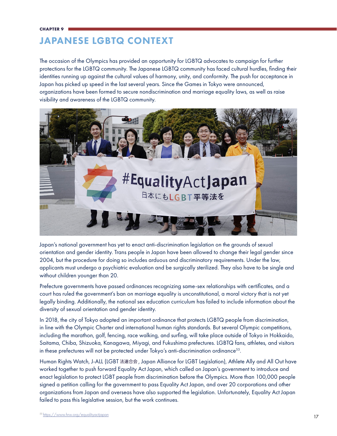# JAPANESE LGBTQ CONTEXT

The occasion of the Olympics has provided an opportunity for LGBTQ advocates to campaign for further protections for the LGBTQ community. The Japanese LGBTQ community has faced cultural hurdles, finding their identities running up against the cultural values of harmony, unity, and conformity. The push for acceptance in Japan has picked up speed in the last several years. Since the Games in Tokyo were announced, organizations have been formed to secure nondiscrimination and marriage equality laws, as well as raise visibility and awareness of the LGBTQ community.



Japan's national government has yet to enact anti-discrimination legislation on the grounds of sexual orientation and gender identity. Trans people in Japan have been allowed to change their legal gender since 2004, but the procedure for doing so includes arduous and discriminatory requirements. Under the law, applicants must undergo a psychiatric evaluation and be surgically sterilized. They also have to be single and without children younger than 20.

Prefecture governments have passed ordinances recognizing same-sex relationships with certificates, and a court has ruled the government's ban on marriage equality is unconstitutional, a moral victory that is not yet legally binding. Additionally, the national sex education curriculum has failed to include information about the diversity of sexual orientation and gender identity.

In 2018, the city of Tokyo adopted an important ordinance that protects LGBTQ people from discrimination, in line with the Olympic Charter and international human rights standards. But several Olympic competitions, including the marathon, golf, fencing, race walking, and surfing, will take place outside of Tokyo in Hokkaido, Saitama, Chiba, Shizuoka, Kanagawa, Miyagi, and Fukushima prefectures. LGBTQ fans, athletes, and visitors in these prefectures will not be protected under Tokyo's anti-discrimination ordinance<sup>55</sup>.

Human Rights Watch, J-ALL (LGBT 法連合会, Japan Alliance for LGBT Legislation), Athlete Ally and All Out have worked together to push forward Equality Act Japan, which called on Japan's government to introduce and enact legislation to protect LGBT people from discrimination before the Olympics. More than 100,000 people signed a petition calling for the government to pass Equality Act Japan, and over 20 corporations and other organizations from Japan and overseas have also supported the legislation. Unfortunately, Equality Act Japan failed to pass this legislative session, but the work continues.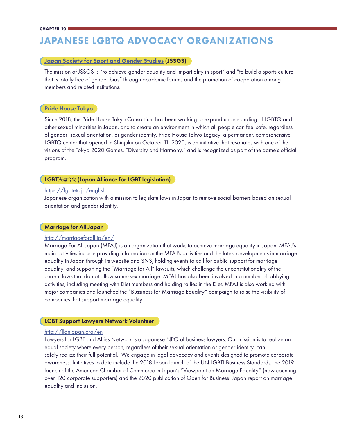# JAPANESE LGBTQ ADVOCACY ORGANIZATIONS

# [Japan Society for Sport and Gender Studies](https://www.google.com/url?q=https://jssgs.org/&sa=D&source=editors&ust=1626386344323000&usg=AOvVaw3sbqOO1XbETvAbwUh0mC-r) (JSSGS)

The mission of JSSGS is "to achieve gender equality and impartiality in sport" and "to build a sports culture that is totally free of gender bias" through academic forums and the promotion of cooperation among members and related institutions.

## [Pride House Tokyo](https://www.google.com/url?q=https://pridehouse.jp/en/&sa=D&source=editors&ust=1626386369942000&usg=AOvVaw2aC-noV1PBurDg6feIPsKR)

Since 2018, the Pride House Tokyo Consortium has been working to expand understanding of LGBTQ and other sexual minorities in Japan, and to create an environment in which all people can feel safe, regardless of gender, sexual orientation, or gender identity. Pride House Tokyo Legacy, a permanent, comprehensive LGBTQ center that opened in Shinjuku on October 11, 2020, is an initiative that resonates with one of the visions of the Tokyo 2020 Games, "Diversity and Harmony," and is recognized as part of the game's official program.

### LGBT法連合会 (Japan Alliance for LGBT legislation)

### [https://lgbtetc.jp/english](https://lgbtetc.jp/english/)

Japanese organization with a mission to legislate laws in Japan to remove social barriers based on sexual orientation and gender identity.

# Marriage for All Japan

# <http://marriageforall.jp/en/>

Marriage For All Japan (MFAJ) is an organization that works to achieve marriage equality in Japan. MFAJ's main activities include providing information on the MFAJ's activities and the latest developments in marriage equality in Japan through its website and SNS, holding events to call for public support for marriage equality, and supporting the "Marriage for All" lawsuits, which challenge the unconstitutionality of the current laws that do not allow same-sex marriage. MFAJ has also been involved in a number of lobbying activities, including meeting with Diet members and holding rallies in the Diet. MFAJ is also working with major companies and launched the "Bussiness for Marriage Equality" campaign to raise the visibility of companies that support marriage equality.

# LGBT Support Lawyers Network Volunteer

### <http://llanjapan.org/en>

Lawyers for LGBT and Allies Network is a Japanese NPO of business lawyers. Our mission is to realize an equal society where every person, regardless of their sexual orientation or gender identity, can safely realize their full potential. We engage in legal advocacy and events designed to promote corporate awareness. Initiatives to date include the 2018 Japan launch of the UN LGBTI Business Standards; the 2019 launch of the American Chamber of Commerce in Japan's "Viewpoint on Marriage Equality" (now counting over 120 corporate supporters) and the 2020 publication of Open for Business' Japan report on marriage equality and inclusion.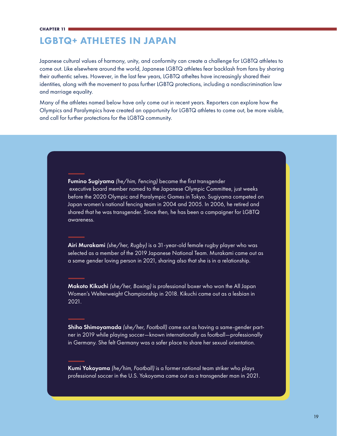# LGBTQ+ ATHLETES IN JAPAN

Japanese cultural values of harmony, unity, and conformity can create a challenge for LGBTQ athletes to come out. Like elsewhere around the world, Japanese LGBTQ athletes fear backlash from fans by sharing their authentic selves. However, in the last few years, LGBTQ atheltes have increasingly shared their identities, along with the movement to pass further LGBTQ protections, including a nondiscrimination law and marriage equality.

Many of the athletes named below have only come out in recent years. Reporters can explore how the Olympics and Paralympics have created an opportunity for LGBTQ athletes to come out, be more visible, and call for further protections for the LGBTQ community.

> Fumino Sugiyama *(he/him, Fencing)* became the first transgender executive board member named to the Japanese Olympic Committee, just weeks before the 2020 Olympic and Paralympic Games in Tokyo. Sugiyama competed on Japan women's national fencing team in 2004 and 2005. In 2006, he retired and shared that he was transgender. Since then, he has been a campaigner for LGBTQ awareness.

> Airi Murakami *(she/her, Rugby)* is a 31-year-old female rugby player who was selected as a member of the 2019 Japanese National Team. Murakami came out as a same gender loving person in 2021, sharing also that she is in a relationship.

Makoto Kikuchi *(she/her, Boxing)* is professional boxer who won the All Japan Women's Welterweight Championship in 2018. Kikuchi came out as a lesbian in 2021.

Shiho Shimoyamada *(she/her, Football) c*ame out as having a same-gender partner in 2019 while playing soccer—known internationally as football—professionally in Germany. She felt Germany was a safer place to share her sexual orientation.

Kumi Yokoyama *(he/him, Football)* is a former national team striker who plays professional soccer in the U.S. Yokoyama came out as a transgender man in 2021.